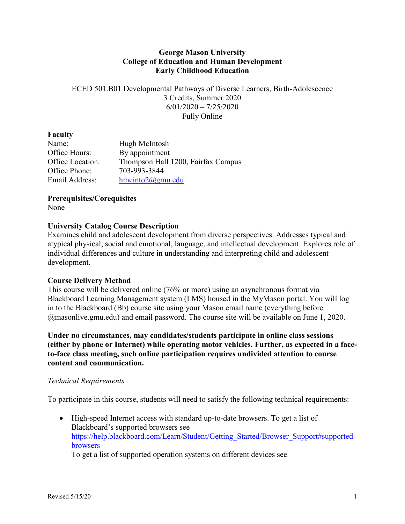## **George Mason University College of Education and Human Development Early Childhood Education**

ECED 501.B01 Developmental Pathways of Diverse Learners, Birth-Adolescence 3 Credits, Summer 2020 6/01/2020 – 7/25/2020 Fully Online

#### **Faculty**

| Name:            | Hugh McIntosh                      |
|------------------|------------------------------------|
| Office Hours:    | By appointment                     |
| Office Location: | Thompson Hall 1200, Fairfax Campus |
| Office Phone:    | 703-993-3844                       |
| Email Address:   | $h$ mcinto $2@g$ mu.edu            |

**Prerequisites/Corequisites**

None

## **University Catalog Course Description**

Examines child and adolescent development from diverse perspectives. Addresses typical and atypical physical, social and emotional, language, and intellectual development. Explores role of individual differences and culture in understanding and interpreting child and adolescent development.

#### **Course Delivery Method**

This course will be delivered online (76% or more) using an asynchronous format via Blackboard Learning Management system (LMS) housed in the MyMason portal. You will log in to the Blackboard (Bb) course site using your Mason email name (everything before @masonlive.gmu.edu) and email password. The course site will be available on June 1, 2020.

**Under no circumstances, may candidates/students participate in online class sessions (either by phone or Internet) while operating motor vehicles. Further, as expected in a faceto-face class meeting, such online participation requires undivided attention to course content and communication.**

#### *Technical Requirements*

To participate in this course, students will need to satisfy the following technical requirements:

• High-speed Internet access with standard up-to-date browsers. To get a list of Blackboard's supported browsers see [https://help.blackboard.com/Learn/Student/Getting\\_Started/Browser\\_Support#supported](https://help.blackboard.com/Learn/Student/Getting_Started/Browser_Support#supported-browsers)[browsers](https://help.blackboard.com/Learn/Student/Getting_Started/Browser_Support#supported-browsers)

To get a list of supported operation systems on different devices see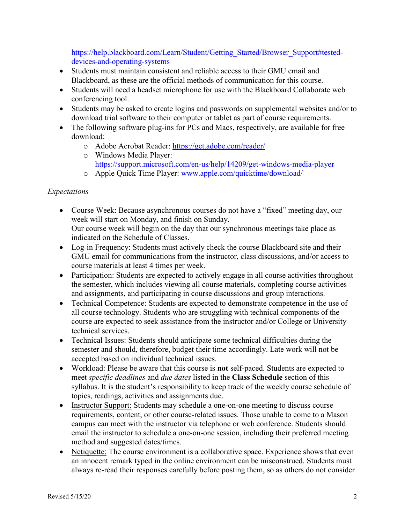[https://help.blackboard.com/Learn/Student/Getting\\_Started/Browser\\_Support#tested](https://help.blackboard.com/Learn/Student/Getting_Started/Browser_Support#tested-devices-and-operating-systems)[devices-and-operating-systems](https://help.blackboard.com/Learn/Student/Getting_Started/Browser_Support#tested-devices-and-operating-systems)

- Students must maintain consistent and reliable access to their GMU email and Blackboard, as these are the official methods of communication for this course.
- Students will need a headset microphone for use with the Blackboard Collaborate web conferencing tool.
- Students may be asked to create logins and passwords on supplemental websites and/or to download trial software to their computer or tablet as part of course requirements.
- The following software plug-ins for PCs and Macs, respectively, are available for free download:
	- o Adobe Acrobat Reader:<https://get.adobe.com/reader/>
	- o Windows Media Player: <https://support.microsoft.com/en-us/help/14209/get-windows-media-player>
	- o Apple Quick Time Player: [www.apple.com/quicktime/download/](http://www.apple.com/quicktime/download/)

# *Expectations*

- Course Week: Because asynchronous courses do not have a "fixed" meeting day, our week will start on Monday, and finish on Sunday. Our course week will begin on the day that our synchronous meetings take place as indicated on the Schedule of Classes.
- Log-in Frequency: Students must actively check the course Blackboard site and their GMU email for communications from the instructor, class discussions, and/or access to course materials at least 4 times per week.
- Participation: Students are expected to actively engage in all course activities throughout the semester, which includes viewing all course materials, completing course activities and assignments, and participating in course discussions and group interactions.
- Technical Competence: Students are expected to demonstrate competence in the use of all course technology. Students who are struggling with technical components of the course are expected to seek assistance from the instructor and/or College or University technical services.
- Technical Issues: Students should anticipate some technical difficulties during the semester and should, therefore, budget their time accordingly. Late work will not be accepted based on individual technical issues.
- Workload: Please be aware that this course is **not** self-paced. Students are expected to meet *specific deadlines* and *due dates* listed in the **Class Schedule** section of this syllabus. It is the student's responsibility to keep track of the weekly course schedule of topics, readings, activities and assignments due.
- Instructor Support: Students may schedule a one-on-one meeting to discuss course requirements, content, or other course-related issues. Those unable to come to a Mason campus can meet with the instructor via telephone or web conference. Students should email the instructor to schedule a one-on-one session, including their preferred meeting method and suggested dates/times.
- Netiquette: The course environment is a collaborative space. Experience shows that even an innocent remark typed in the online environment can be misconstrued. Students must always re-read their responses carefully before posting them, so as others do not consider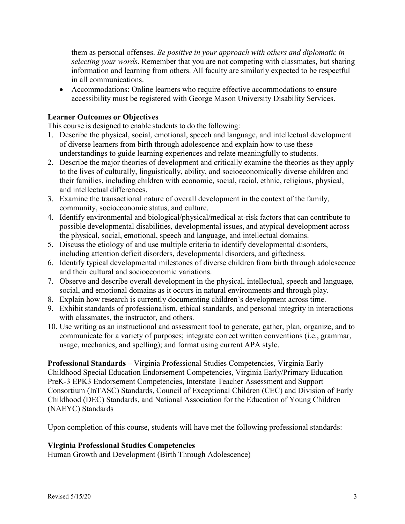them as personal offenses. *Be positive in your approach with others and diplomatic in selecting your words*. Remember that you are not competing with classmates, but sharing information and learning from others. All faculty are similarly expected to be respectful in all communications.

• Accommodations: Online learners who require effective accommodations to ensure accessibility must be registered with George Mason University Disability Services.

### **Learner Outcomes or Objectives**

This course is designed to enable students to do the following:

- 1. Describe the physical, social, emotional, speech and language, and intellectual development of diverse learners from birth through adolescence and explain how to use these understandings to guide learning experiences and relate meaningfully to students.
- 2. Describe the major theories of development and critically examine the theories as they apply to the lives of culturally, linguistically, ability, and socioeconomically diverse children and their families, including children with economic, social, racial, ethnic, religious, physical, and intellectual differences.
- 3. Examine the transactional nature of overall development in the context of the family, community, socioeconomic status, and culture.
- 4. Identify environmental and biological/physical/medical at-risk factors that can contribute to possible developmental disabilities, developmental issues, and atypical development across the physical, social, emotional, speech and language, and intellectual domains.
- 5. Discuss the etiology of and use multiple criteria to identify developmental disorders, including attention deficit disorders, developmental disorders, and giftedness.
- 6. Identify typical developmental milestones of diverse children from birth through adolescence and their cultural and socioeconomic variations.
- 7. Observe and describe overall development in the physical, intellectual, speech and language, social, and emotional domains as it occurs in natural environments and through play.
- 8. Explain how research is currently documenting children's development across time.
- 9. Exhibit standards of professionalism, ethical standards, and personal integrity in interactions with classmates, the instructor, and others.
- 10. Use writing as an instructional and assessment tool to generate, gather, plan, organize, and to communicate for a variety of purposes; integrate correct written conventions (i.e., grammar, usage, mechanics, and spelling); and format using current APA style.

**Professional Standards –** Virginia Professional Studies Competencies, Virginia Early Childhood Special Education Endorsement Competencies, Virginia Early/Primary Education PreK-3 EPK3 Endorsement Competencies, Interstate Teacher Assessment and Support Consortium (InTASC) Standards, Council of Exceptional Children (CEC) and Division of Early Childhood (DEC) Standards, and National Association for the Education of Young Children (NAEYC) Standards

Upon completion of this course, students will have met the following professional standards:

#### **Virginia Professional Studies Competencies**

Human Growth and Development (Birth Through Adolescence)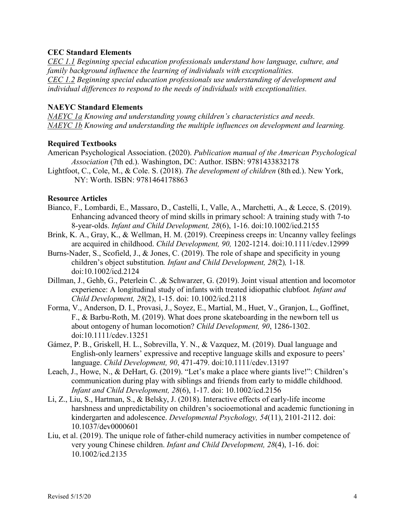## **CEC Standard Elements**

*CEC 1.1 Beginning special education professionals understand how language, culture, and family background influence the learning of individuals with exceptionalities. CEC 1.2 Beginning special education professionals use understanding of development and individual differences to respond to the needs of individuals with exceptionalities.*

### **NAEYC Standard Elements**

*NAEYC 1a Knowing and understanding young children's characteristics and needs. NAEYC 1b Knowing and understanding the multiple influences on development and learning.*

#### **Required Textbooks**

- American Psychological Association. (2020). *Publication manual of the American Psychological Association* (7th ed.). Washington, DC: Author. ISBN: 9781433832178
- Lightfoot, C., Cole, M., & Cole. S. (2018). *The development of children* (8th ed.). New York, NY: Worth. ISBN: 9781464178863

#### **Resource Articles**

- Bianco, F., Lombardi, E., Massaro, D., Castelli, I., Valle, A., Marchetti, A., & Lecce, S. (2019). Enhancing advanced theory of mind skills in primary school: A training study with 7-to 8-year-olds. *Infant and Child Development, 28*(6), 1-16. doi:10.1002/icd.2155
- Brink, K. A., Gray, K., & Wellman, H. M. (2019). Creepiness creeps in: Uncanny valley feelings are acquired in childhood. *Child Development, 90,* 1202-1214. doi:10.1111/cdev.12999
- Burns-Nader, S., Scofield, J., & Jones, C. (2019). The role of shape and specificity in young children's object substitution*. Infant and Child Development, 28*(2)*,* 1-18*.*  doi:10.1002/icd.2124
- Dillman, J., Gehb, G., Peterlein C. ,& Schwarzer, G. (2019). Joint visual attention and locomotor experience: A longitudinal study of infants with treated idiopathic clubfoot*. Infant and Child Development, 28*(2), 1-15. doi: 10.1002/icd.2118
- Forma, V., Anderson, D. I., Provasi, J., Soyez, E., Martial, M., Huet, V., Granjon, L., Goffinet, F., & Barbu-Roth, M. (2019). What does prone skateboarding in the newborn tell us about ontogeny of human locomotion? *Child Development, 90*, 1286-1302. doi:10.1111/cdev.13251
- Gámez, P. B., Griskell, H. L., Sobrevilla, Y. N., & Vazquez, M. (2019). Dual language and English-only learners' expressive and receptive language skills and exposure to peers' language. *Child Development, 90*, 471-479. doi:10.1111/cdev.13197
- Leach, J., Howe, N., & DeHart, G. (2019). "Let's make a place where giants live!": Children's communication during play with siblings and friends from early to middle childhood. *Infant and Child Development, 28*(6), 1-17. doi: 10.1002/icd.2156
- Li, Z., Liu, S., Hartman, S., & Belsky, J. (2018). Interactive effects of early-life income harshness and unpredictability on children's socioemotional and academic functioning in kindergarten and adolescence. *Developmental Psychology, 54*(11), 2101-2112. doi: 10.1037/dev0000601
- Liu, et al. (2019). The unique role of father-child numeracy activities in number competence of very young Chinese children. *Infant and Child Development, 28*(4), 1-16. doi: 10.1002/icd.2135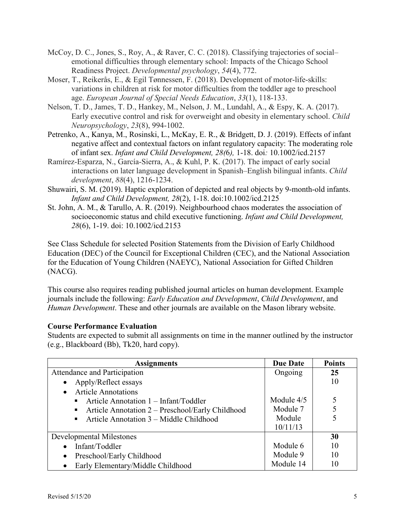- McCoy, D. C., Jones, S., Roy, A., & Raver, C. C. (2018). Classifying trajectories of social– emotional difficulties through elementary school: Impacts of the Chicago School Readiness Project. *Developmental psychology*, *54*(4), 772.
- Moser, T., Reikerås, E., & Egil Tønnessen, F. (2018). Development of motor-life-skills: variations in children at risk for motor difficulties from the toddler age to preschool age. *European Journal of Special Needs Education*, *33*(1), 118-133.
- Nelson, T. D., James, T. D., Hankey, M., Nelson, J. M., Lundahl, A., & Espy, K. A. (2017). Early executive control and risk for overweight and obesity in elementary school. *Child Neuropsychology*, *23*(8), 994-1002.
- Petrenko, A., Kanya, M., Rosinski, L., McKay, E. R., & Bridgett, D. J. (2019). Effects of infant negative affect and contextual factors on infant regulatory capacity: The moderating role of infant sex. *Infant and Child Development, 28(*6*),* 1-18. doi*:* [10.1002/icd.2157](https://doi.org/10.1002/icd.2157)
- Ramírez‐Esparza, N., García‐Sierra, A., & Kuhl, P. K. (2017). The impact of early social interactions on later language development in Spanish–English bilingual infants. *Child development*, *88*(4), 1216-1234.
- Shuwairi, S. M. (2019). Haptic exploration of depicted and real objects by 9-month-old infants. *Infant and Child Development, 28*(2), 1-18. doi:10.1002/icd.2125
- St. John, A. M., & Tarullo, A. R. (2019). Neighbourhood chaos moderates the association of socioeconomic status and child executive functioning. *Infant and Child Development, 28*(6), 1-19. doi: 10.1002/icd.2153

See Class Schedule for selected Position Statements from the Division of Early Childhood Education (DEC) of the Council for Exceptional Children (CEC), and the National Association for the Education of Young Children (NAEYC), National Association for Gifted Children (NACG).

This course also requires reading published journal articles on human development. Example journals include the following: *Early Education and Development*, *Child Development*, and *Human Development*. These and other journals are available on the Mason library website.

# **Course Performance Evaluation**

Students are expected to submit all assignments on time in the manner outlined by the instructor (e.g., Blackboard (Bb), Tk20, hard copy).

| <b>Assignments</b>                                                                                                                                                                                         | <b>Due Date</b>                                | <b>Points</b> |
|------------------------------------------------------------------------------------------------------------------------------------------------------------------------------------------------------------|------------------------------------------------|---------------|
| Attendance and Participation                                                                                                                                                                               | Ongoing                                        | 25            |
| Apply/Reflect essays                                                                                                                                                                                       |                                                | 10            |
| <b>Article Annotations</b><br>$\bullet$<br>Article Annotation $1 - \text{Infant/Toddler}$<br>Article Annotation 2 – Preschool/Early Childhood<br>Article Annotation 3 – Middle Childhood<br>$\blacksquare$ | Module $4/5$<br>Module 7<br>Module<br>10/11/13 |               |
| Developmental Milestones                                                                                                                                                                                   |                                                | 30            |
| Infant/Toddler                                                                                                                                                                                             | Module 6                                       | 10            |
| Preschool/Early Childhood<br>٠                                                                                                                                                                             | Module 9                                       | 10            |
| Early Elementary/Middle Childhood<br>$\bullet$                                                                                                                                                             | Module 14                                      | 10            |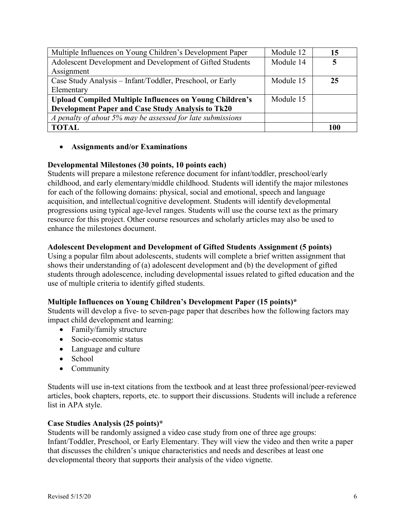| Multiple Influences on Young Children's Development Paper      | Module 12 | 15  |
|----------------------------------------------------------------|-----------|-----|
| Adolescent Development and Development of Gifted Students      | Module 14 |     |
| Assignment                                                     |           |     |
| Case Study Analysis - Infant/Toddler, Preschool, or Early      | Module 15 | 25  |
| Elementary                                                     |           |     |
| <b>Upload Compiled Multiple Influences on Young Children's</b> | Module 15 |     |
| <b>Development Paper and Case Study Analysis to Tk20</b>       |           |     |
| A penalty of about 5% may be assessed for late submissions     |           |     |
| <b>TOTAL</b>                                                   |           | 100 |

## • **Assignments and/or Examinations**

## **Developmental Milestones (30 points, 10 points each)**

Students will prepare a milestone reference document for infant/toddler, preschool/early childhood, and early elementary/middle childhood. Students will identify the major milestones for each of the following domains: physical, social and emotional, speech and language acquisition, and intellectual/cognitive development. Students will identify developmental progressions using typical age-level ranges. Students will use the course text as the primary resource for this project. Other course resources and scholarly articles may also be used to enhance the milestones document.

## **Adolescent Development and Development of Gifted Students Assignment (5 points)**

Using a popular film about adolescents, students will complete a brief written assignment that shows their understanding of (a) adolescent development and (b) the development of gifted students through adolescence, including developmental issues related to gifted education and the use of multiple criteria to identify gifted students.

#### **Multiple Influences on Young Children's Development Paper (15 points)\***

Students will develop a five- to seven-page paper that describes how the following factors may impact child development and learning:

- Family/family structure
- Socio-economic status
- Language and culture
- School
- Community

Students will use in-text citations from the textbook and at least three professional/peer-reviewed articles, book chapters, reports, etc. to support their discussions. Students will include a reference list in APA style.

#### **Case Studies Analysis (25 points)\***

Students will be randomly assigned a video case study from one of three age groups: Infant/Toddler, Preschool, or Early Elementary. They will view the video and then write a paper that discusses the children's unique characteristics and needs and describes at least one developmental theory that supports their analysis of the video vignette.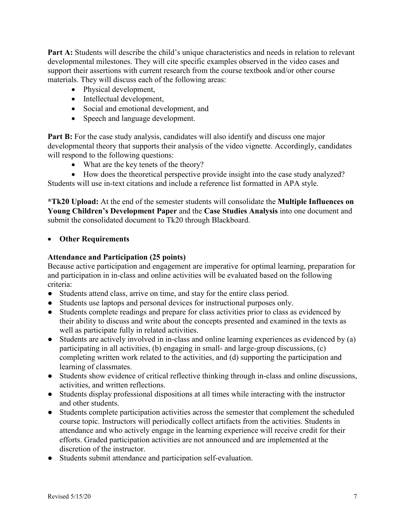**Part A:** Students will describe the child's unique characteristics and needs in relation to relevant developmental milestones. They will cite specific examples observed in the video cases and support their assertions with current research from the course textbook and/or other course materials. They will discuss each of the following areas:

- Physical development,
- Intellectual development,
- Social and emotional development, and
- Speech and language development.

**Part B:** For the case study analysis, candidates will also identify and discuss one major developmental theory that supports their analysis of the video vignette. Accordingly, candidates will respond to the following questions:

- What are the key tenets of the theory?
- How does the theoretical perspective provide insight into the case study analyzed? Students will use in-text citations and include a reference list formatted in APA style.

**\*Tk20 Upload:** At the end of the semester students will consolidate the **Multiple Influences on Young Children's Development Paper** and the **Case Studies Analysis** into one document and submit the consolidated document to Tk20 through Blackboard.

## • **Other Requirements**

## **Attendance and Participation (25 points)**

Because active participation and engagement are imperative for optimal learning, preparation for and participation in in-class and online activities will be evaluated based on the following criteria:

- Students attend class, arrive on time, and stay for the entire class period.
- Students use laptops and personal devices for instructional purposes only.
- Students complete readings and prepare for class activities prior to class as evidenced by their ability to discuss and write about the concepts presented and examined in the texts as well as participate fully in related activities.
- Students are actively involved in in-class and online learning experiences as evidenced by (a) participating in all activities, (b) engaging in small- and large-group discussions, (c) completing written work related to the activities, and (d) supporting the participation and learning of classmates.
- Students show evidence of critical reflective thinking through in-class and online discussions, activities, and written reflections.
- Students display professional dispositions at all times while interacting with the instructor and other students.
- Students complete participation activities across the semester that complement the scheduled course topic. Instructors will periodically collect artifacts from the activities. Students in attendance and who actively engage in the learning experience will receive credit for their efforts. Graded participation activities are not announced and are implemented at the discretion of the instructor.
- Students submit attendance and participation self-evaluation.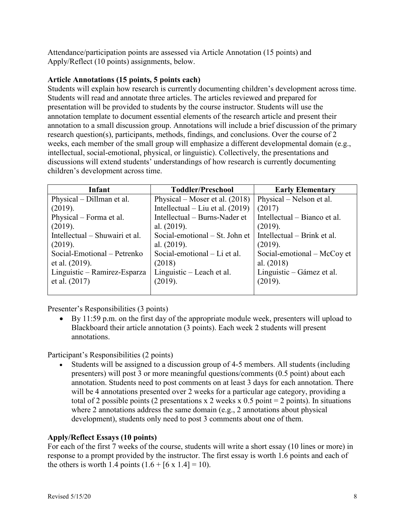Attendance/participation points are assessed via Article Annotation (15 points) and Apply/Reflect (10 points) assignments, below.

## **Article Annotations (15 points, 5 points each)**

Students will explain how research is currently documenting children's development across time. Students will read and annotate three articles. The articles reviewed and prepared for presentation will be provided to students by the course instructor. Students will use the annotation template to document essential elements of the research article and present their annotation to a small discussion group. Annotations will include a brief discussion of the primary research question(s), participants, methods, findings, and conclusions. Over the course of 2 weeks, each member of the small group will emphasize a different developmental domain (e.g., intellectual, social-emotional, physical, or linguistic). Collectively, the presentations and discussions will extend students' understandings of how research is currently documenting children's development across time.

| Infant                         | <b>Toddler/Preschool</b>           | <b>Early Elementary</b>      |
|--------------------------------|------------------------------------|------------------------------|
| Physical – Dillman et al.      | Physical – Moser et al. $(2018)$   | Physical – Nelson et al.     |
| (2019).                        | Intellectual – Liu et al. $(2019)$ | (2017)                       |
| Physical – Forma et al.        | Intellectual – Burns-Nader et      | Intellectual – Bianco et al. |
| (2019).                        | al. (2019).                        | (2019).                      |
| Intellectual – Shuwairi et al. | Social-emotional – St. John et     | Intellectual – Brink et al.  |
| (2019).                        | al. $(2019)$ .                     | (2019).                      |
| Social-Emotional – Petrenko    | Social-emotional – Li et al.       | Social-emotional – McCoy et  |
| et al. $(2019)$ .              | (2018)                             | al. (2018)                   |
| Linguistic - Ramirez-Esparza   | Linguistic – Leach et al.          | Linguistic – Gámez et al.    |
| et al. $(2017)$                | (2019).                            | (2019).                      |
|                                |                                    |                              |

Presenter's Responsibilities (3 points)

• By 11:59 p.m. on the first day of the appropriate module week, presenters will upload to Blackboard their article annotation (3 points). Each week 2 students will present annotations.

Participant's Responsibilities (2 points)

• Students will be assigned to a discussion group of 4-5 members. All students (including presenters) will post 3 or more meaningful questions/comments (0.5 point) about each annotation. Students need to post comments on at least 3 days for each annotation. There will be 4 annotations presented over 2 weeks for a particular age category, providing a total of 2 possible points (2 presentations x 2 weeks x 0.5 point = 2 points). In situations where 2 annotations address the same domain (e.g., 2 annotations about physical development), students only need to post 3 comments about one of them.

# **Apply/Reflect Essays (10 points)**

For each of the first 7 weeks of the course, students will write a short essay (10 lines or more) in response to a prompt provided by the instructor. The first essay is worth 1.6 points and each of the others is worth 1.4 points  $(1.6 + [6 \times 1.4] = 10)$ .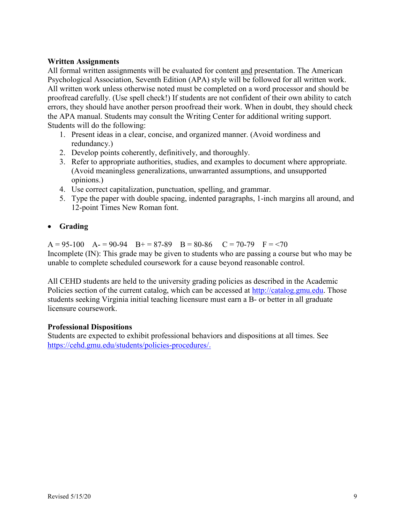## **Written Assignments**

All formal written assignments will be evaluated for content and presentation. The American Psychological Association, Seventh Edition (APA) style will be followed for all written work. All written work unless otherwise noted must be completed on a word processor and should be proofread carefully. (Use spell check!) If students are not confident of their own ability to catch errors, they should have another person proofread their work. When in doubt, they should check the APA manual. Students may consult the Writing Center for additional writing support. Students will do the following:

- 1. Present ideas in a clear, concise, and organized manner. (Avoid wordiness and redundancy.)
- 2. Develop points coherently, definitively, and thoroughly.
- 3. Refer to appropriate authorities, studies, and examples to document where appropriate. (Avoid meaningless generalizations, unwarranted assumptions, and unsupported opinions.)
- 4. Use correct capitalization, punctuation, spelling, and grammar.
- 5. Type the paper with double spacing, indented paragraphs, 1-inch margins all around, and 12-point Times New Roman font.

## • **Grading**

 $A = 95-100$   $A = 90-94$   $B = 87-89$   $B = 80-86$   $C = 70-79$   $F = 70$ Incomplete (IN): This grade may be given to students who are passing a course but who may be unable to complete scheduled coursework for a cause beyond reasonable control.

All CEHD students are held to the university grading policies as described in the Academic Policies section of the current catalog, which can be accessed at [http://catalog.gmu.edu.](http://catalog.gmu.edu/) Those students seeking Virginia initial teaching licensure must earn a B- or better in all graduate licensure coursework.

#### **Professional Dispositions**

Students are expected to exhibit professional behaviors and dispositions at all times. See [https://cehd.gmu.edu/students/policies-procedures/.](https://cehd.gmu.edu/students/policies-procedures/)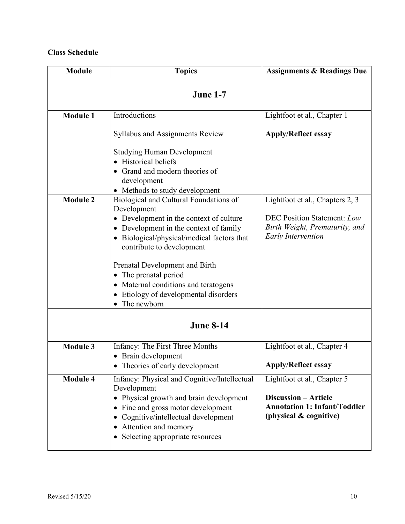# **Class Schedule**

| <b>Module</b>   | <b>Topics</b>                                                                                                                                                                                                                                                                                                                                                              | <b>Assignments &amp; Readings Due</b>                                                                                         |  |  |
|-----------------|----------------------------------------------------------------------------------------------------------------------------------------------------------------------------------------------------------------------------------------------------------------------------------------------------------------------------------------------------------------------------|-------------------------------------------------------------------------------------------------------------------------------|--|--|
| <b>June 1-7</b> |                                                                                                                                                                                                                                                                                                                                                                            |                                                                                                                               |  |  |
| <b>Module 1</b> | Introductions                                                                                                                                                                                                                                                                                                                                                              | Lightfoot et al., Chapter 1                                                                                                   |  |  |
|                 | <b>Syllabus and Assignments Review</b>                                                                                                                                                                                                                                                                                                                                     | <b>Apply/Reflect essay</b>                                                                                                    |  |  |
|                 | <b>Studying Human Development</b><br>• Historical beliefs<br>Grand and modern theories of<br>development<br>• Methods to study development                                                                                                                                                                                                                                 |                                                                                                                               |  |  |
| <b>Module 2</b> | Biological and Cultural Foundations of<br>Development<br>• Development in the context of culture<br>• Development in the context of family<br>• Biological/physical/medical factors that<br>contribute to development<br>Prenatal Development and Birth<br>The prenatal period<br>• Maternal conditions and teratogens<br>Etiology of developmental disorders<br>$\bullet$ | Lightfoot et al., Chapters 2, 3<br><b>DEC Position Statement: Low</b><br>Birth Weight, Prematurity, and<br>Early Intervention |  |  |
|                 | The newborn<br>$\bullet$<br><b>June 8-14</b>                                                                                                                                                                                                                                                                                                                               |                                                                                                                               |  |  |
| <b>Module 3</b> | Infancy: The First Three Months<br>• Brain development<br>• Theories of early development                                                                                                                                                                                                                                                                                  | Lightfoot et al., Chapter 4<br><b>Apply/Reflect essay</b>                                                                     |  |  |
| <b>Module 4</b> | Infancy: Physical and Cognitive/Intellectual<br>Development<br>Physical growth and brain development<br>Fine and gross motor development<br>Cognitive/intellectual development<br>Attention and memory<br>Selecting appropriate resources                                                                                                                                  | Lightfoot et al., Chapter 5<br><b>Discussion - Article</b><br><b>Annotation 1: Infant/Toddler</b><br>(physical & cognitive)   |  |  |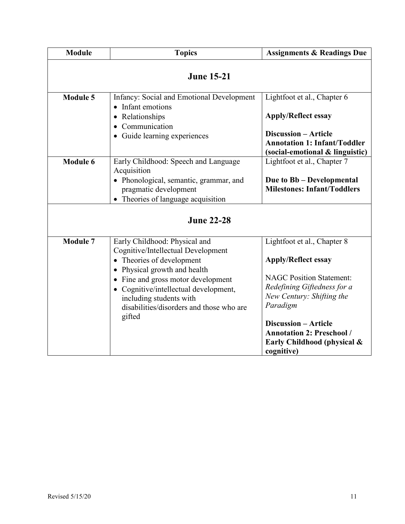| <b>Module</b>   | <b>Topics</b>                                                                                                                                                                                                                                                                                             | <b>Assignments &amp; Readings Due</b>                                                                                                                                                                                                                                                |  |  |  |
|-----------------|-----------------------------------------------------------------------------------------------------------------------------------------------------------------------------------------------------------------------------------------------------------------------------------------------------------|--------------------------------------------------------------------------------------------------------------------------------------------------------------------------------------------------------------------------------------------------------------------------------------|--|--|--|
|                 | <b>June 15-21</b>                                                                                                                                                                                                                                                                                         |                                                                                                                                                                                                                                                                                      |  |  |  |
| <b>Module 5</b> | Infancy: Social and Emotional Development<br>Infant emotions<br>Relationships<br>Communication<br>• Guide learning experiences                                                                                                                                                                            | Lightfoot et al., Chapter 6<br><b>Apply/Reflect essay</b><br><b>Discussion - Article</b><br><b>Annotation 1: Infant/Toddler</b><br>(social-emotional & linguistic)                                                                                                                   |  |  |  |
| <b>Module 6</b> | Early Childhood: Speech and Language<br>Acquisition<br>• Phonological, semantic, grammar, and<br>pragmatic development<br>Theories of language acquisition<br><b>June 22-28</b>                                                                                                                           | Lightfoot et al., Chapter 7<br>Due to Bb - Developmental<br><b>Milestones: Infant/Toddlers</b>                                                                                                                                                                                       |  |  |  |
| <b>Module 7</b> | Early Childhood: Physical and<br>Cognitive/Intellectual Development<br>• Theories of development<br>Physical growth and health<br>Fine and gross motor development<br>$\bullet$<br>• Cognitive/intellectual development,<br>including students with<br>disabilities/disorders and those who are<br>gifted | Lightfoot et al., Chapter 8<br><b>Apply/Reflect essay</b><br><b>NAGC Position Statement:</b><br>Redefining Giftedness for a<br>New Century: Shifting the<br>Paradigm<br><b>Discussion - Article</b><br><b>Annotation 2: Preschool /</b><br>Early Childhood (physical &<br>cognitive) |  |  |  |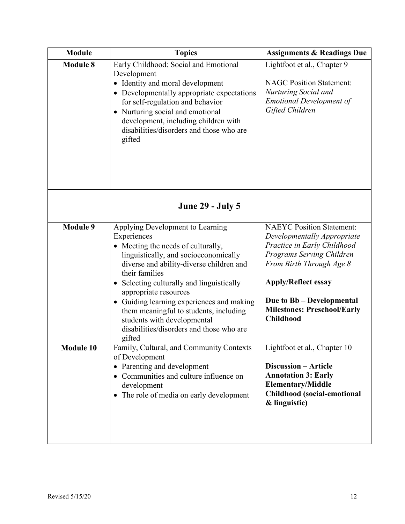| <b>Module</b>   | <b>Topics</b>                                                                                                                                                                                                                                                                                                                                                                                                                                             | <b>Assignments &amp; Readings Due</b>                                                                                                                                                                                                                                        |  |
|-----------------|-----------------------------------------------------------------------------------------------------------------------------------------------------------------------------------------------------------------------------------------------------------------------------------------------------------------------------------------------------------------------------------------------------------------------------------------------------------|------------------------------------------------------------------------------------------------------------------------------------------------------------------------------------------------------------------------------------------------------------------------------|--|
| <b>Module 8</b> | Early Childhood: Social and Emotional<br>Development<br>• Identity and moral development<br>• Developmentally appropriate expectations<br>for self-regulation and behavior<br>• Nurturing social and emotional<br>development, including children with<br>disabilities/disorders and those who are<br>gifted                                                                                                                                              | Lightfoot et al., Chapter 9<br><b>NAGC Position Statement:</b><br>Nurturing Social and<br><b>Emotional Development of</b><br>Gifted Children                                                                                                                                 |  |
|                 | <b>June 29 - July 5</b>                                                                                                                                                                                                                                                                                                                                                                                                                                   |                                                                                                                                                                                                                                                                              |  |
| <b>Module 9</b> | Applying Development to Learning<br>Experiences<br>• Meeting the needs of culturally,<br>linguistically, and socioeconomically<br>diverse and ability-diverse children and<br>their families<br>• Selecting culturally and linguistically<br>appropriate resources<br>Guiding learning experiences and making<br>$\bullet$<br>them meaningful to students, including<br>students with developmental<br>disabilities/disorders and those who are<br>gifted | <b>NAEYC</b> Position Statement:<br>Developmentally Appropriate<br>Practice in Early Childhood<br>Programs Serving Children<br>From Birth Through Age 8<br><b>Apply/Reflect essay</b><br>Due to Bb - Developmental<br><b>Milestones: Preschool/Early</b><br><b>Childhood</b> |  |
| Module 10       | Family, Cultural, and Community Contexts<br>of Development<br>• Parenting and development<br>• Communities and culture influence on<br>development<br>The role of media on early development<br>$\bullet$                                                                                                                                                                                                                                                 | Lightfoot et al., Chapter 10<br><b>Discussion - Article</b><br><b>Annotation 3: Early</b><br><b>Elementary/Middle</b><br><b>Childhood</b> (social-emotional<br>& linguistic)                                                                                                 |  |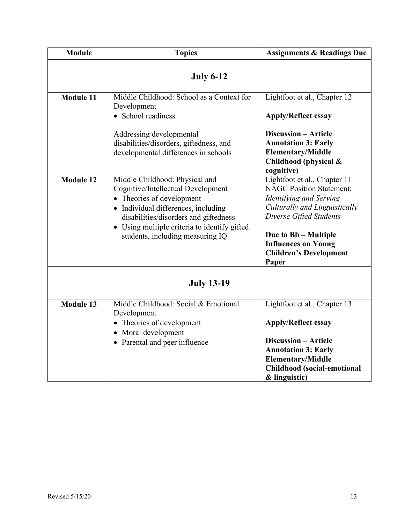| <b>Module</b>     | <b>Topics</b>                                                                                                                                                                                                                                                         | <b>Assignments &amp; Readings Due</b>                                                                                                                                                                                                                  |  |  |
|-------------------|-----------------------------------------------------------------------------------------------------------------------------------------------------------------------------------------------------------------------------------------------------------------------|--------------------------------------------------------------------------------------------------------------------------------------------------------------------------------------------------------------------------------------------------------|--|--|
| <b>July 6-12</b>  |                                                                                                                                                                                                                                                                       |                                                                                                                                                                                                                                                        |  |  |
| <b>Module 11</b>  | Middle Childhood: School as a Context for<br>Development<br>• School readiness                                                                                                                                                                                        | Lightfoot et al., Chapter 12<br><b>Apply/Reflect essay</b>                                                                                                                                                                                             |  |  |
|                   | Addressing developmental<br>disabilities/disorders, giftedness, and<br>developmental differences in schools                                                                                                                                                           | <b>Discussion - Article</b><br><b>Annotation 3: Early</b><br><b>Elementary/Middle</b><br>Childhood (physical &<br>cognitive)                                                                                                                           |  |  |
| <b>Module 12</b>  | Middle Childhood: Physical and<br>Cognitive/Intellectual Development<br>• Theories of development<br>• Individual differences, including<br>disabilities/disorders and giftedness<br>• Using multiple criteria to identify gifted<br>students, including measuring IQ | Lightfoot et al., Chapter 11<br><b>NAGC Position Statement:</b><br>Identifying and Serving<br>Culturally and Linguistically<br>Diverse Gifted Students<br>Due to Bb - Multiple<br><b>Influences on Young</b><br><b>Children's Development</b><br>Paper |  |  |
| <b>July 13-19</b> |                                                                                                                                                                                                                                                                       |                                                                                                                                                                                                                                                        |  |  |
| <b>Module 13</b>  | Middle Childhood: Social & Emotional<br>Development<br>• Theories of development<br>• Moral development<br>• Parental and peer influence                                                                                                                              | Lightfoot et al., Chapter 13<br><b>Apply/Reflect essay</b><br><b>Discussion - Article</b><br><b>Annotation 3: Early</b><br><b>Elementary/Middle</b><br><b>Childhood</b> (social-emotional<br>& linguistic)                                             |  |  |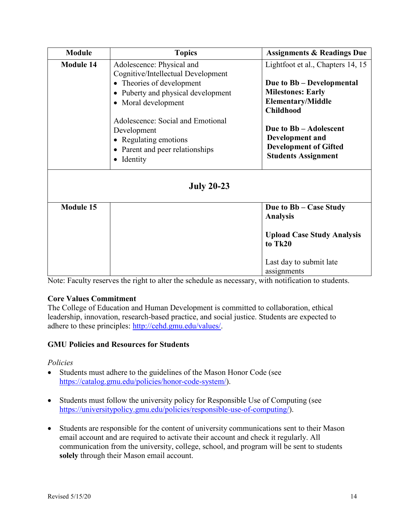| <b>Module</b>    | <b>Topics</b>                                                                                                                                                                                                                                                                                                                                                                                                                                       | <b>Assignments &amp; Readings Due</b>        |
|------------------|-----------------------------------------------------------------------------------------------------------------------------------------------------------------------------------------------------------------------------------------------------------------------------------------------------------------------------------------------------------------------------------------------------------------------------------------------------|----------------------------------------------|
| <b>Module 14</b> | Adolescence: Physical and<br>Cognitive/Intellectual Development                                                                                                                                                                                                                                                                                                                                                                                     | Lightfoot et al., Chapters 14, 15            |
|                  | • Theories of development<br>Due to Bb – Developmental<br><b>Milestones: Early</b><br>• Puberty and physical development<br><b>Elementary/Middle</b><br>• Moral development<br><b>Childhood</b><br>Adolescence: Social and Emotional<br>Due to Bb - Adolescent<br>Development<br>Development and<br>• Regulating emotions<br><b>Development of Gifted</b><br>• Parent and peer relationships<br><b>Students Assignment</b><br>Identity<br>$\bullet$ |                                              |
|                  |                                                                                                                                                                                                                                                                                                                                                                                                                                                     |                                              |
|                  | <b>July 20-23</b>                                                                                                                                                                                                                                                                                                                                                                                                                                   |                                              |
| <b>Module 15</b> |                                                                                                                                                                                                                                                                                                                                                                                                                                                     | Due to Bb – Case Study<br><b>Analysis</b>    |
|                  |                                                                                                                                                                                                                                                                                                                                                                                                                                                     | <b>Upload Case Study Analysis</b><br>to Tk20 |
|                  |                                                                                                                                                                                                                                                                                                                                                                                                                                                     | Last day to submit late<br>assignments       |

Note: Faculty reserves the right to alter the schedule as necessary, with notification to students.

# **Core Values Commitment**

The College of Education and Human Development is committed to collaboration, ethical leadership, innovation, research-based practice, and social justice. Students are expected to adhere to these principles: [http://cehd.gmu.edu/values/.](http://cehd.gmu.edu/values/)

# **GMU Policies and Resources for Students**

#### *Policies*

- Students must adhere to the guidelines of the Mason Honor Code (see [https://catalog.gmu.edu/policies/honor-code-system/\)](https://catalog.gmu.edu/policies/honor-code-system/).
- Students must follow the university policy for Responsible Use of Computing (see [https://universitypolicy.gmu.edu/policies/responsible-use-of-computing/\)](https://universitypolicy.gmu.edu/policies/responsible-use-of-computing/).
- Students are responsible for the content of university communications sent to their Mason email account and are required to activate their account and check it regularly. All communication from the university, college, school, and program will be sent to students **solely** through their Mason email account.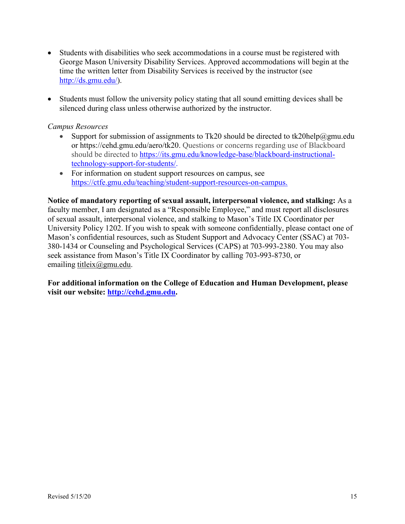- Students with disabilities who seek accommodations in a course must be registered with George Mason University Disability Services. Approved accommodations will begin at the time the written letter from Disability Services is received by the instructor (see [http://ds.gmu.edu/\)](http://ds.gmu.edu/).
- Students must follow the university policy stating that all sound emitting devices shall be silenced during class unless otherwise authorized by the instructor.

## *Campus Resources*

- Support for submission of assignments to Tk20 should be directed to [tk20help@gmu.edu](mailto:tk20help@gmu.edu) or [https://cehd.gmu.edu/aero/tk20.](https://cehd.gmu.edu/aero/tk20) Questions or concerns regarding use of Blackboard should be directed to [https://its.gmu.edu/knowledge-base/blackboard-instructional](https://its.gmu.edu/knowledge-base/blackboard-instructional-technology-support-for-students/)[technology-support-for-students/.](https://its.gmu.edu/knowledge-base/blackboard-instructional-technology-support-for-students/)
- For information on student support resources on campus, see [https://ctfe.gmu.edu/teaching/student-support-resources-on-campus.](https://ctfe.gmu.edu/teaching/student-support-resources-on-campus)

**Notice of mandatory reporting of sexual assault, interpersonal violence, and stalking:** As a faculty member, I am designated as a "Responsible Employee," and must report all disclosures of sexual assault, interpersonal violence, and stalking to Mason's Title IX Coordinator per University Policy 1202. If you wish to speak with someone confidentially, please contact one of Mason's confidential resources, such as Student Support and Advocacy Center (SSAC) at 703- 380-1434 or Counseling and Psychological Services (CAPS) at 703-993-2380. You may also seek assistance from Mason's Title IX Coordinator by calling 703-993-8730, or emailing [titleix@gmu.edu.](mailto:titleix@gmu.edu)

**For additional information on the College of Education and Human Development, please visit our website: [http://cehd.gmu.edu.](http://cehd.gmu.edu/)**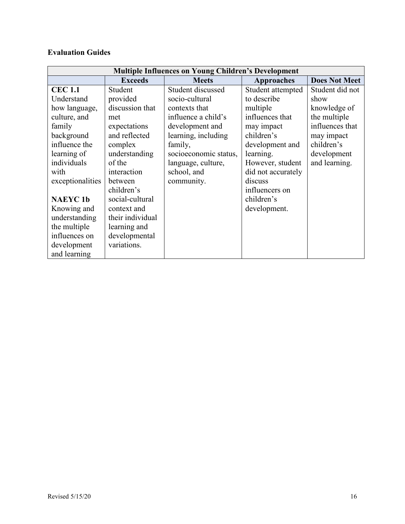# **Evaluation Guides**

| <b>Multiple Influences on Young Children's Development</b> |                  |                       |                    |                      |
|------------------------------------------------------------|------------------|-----------------------|--------------------|----------------------|
|                                                            | <b>Exceeds</b>   | <b>Meets</b>          | Approaches         | <b>Does Not Meet</b> |
| <b>CEC 1.1</b>                                             | Student          | Student discussed     | Student attempted  | Student did not      |
| Understand                                                 | provided         | socio-cultural        | to describe        | show                 |
| how language,                                              | discussion that  | contexts that         | multiple           | knowledge of         |
| culture, and                                               | met              | influence a child's   | influences that    | the multiple         |
| family                                                     | expectations     | development and       | may impact         | influences that      |
| background                                                 | and reflected    | learning, including   | children's         | may impact           |
| influence the                                              | complex          | family,               | development and    | children's           |
| learning of                                                | understanding    | socioeconomic status, | learning.          | development          |
| individuals                                                | of the           | language, culture,    | However, student   | and learning.        |
| with                                                       | interaction      | school, and           | did not accurately |                      |
| exceptionalities                                           | between          | community.            | discuss            |                      |
|                                                            | children's       |                       | influencers on     |                      |
| <b>NAEYC1b</b>                                             | social-cultural  |                       | children's         |                      |
| Knowing and                                                | context and      |                       | development.       |                      |
| understanding                                              | their individual |                       |                    |                      |
| the multiple                                               | learning and     |                       |                    |                      |
| influences on                                              | developmental    |                       |                    |                      |
| development                                                | variations.      |                       |                    |                      |
| and learning                                               |                  |                       |                    |                      |